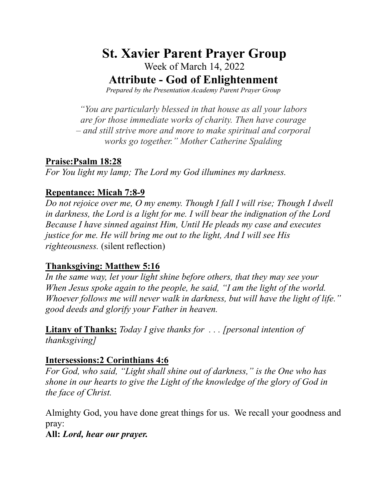# **St. Xavier Parent Prayer Group**

Week of March 14, 2022

**Attribute - God of Enlightenment** 

Prepared by the Presentation Academy Parent Prayer Group

"You are particularly blessed in that house as all your labors" are for those immediate works of charity. Then have courage - and still strive more and more to make spiritual and corporal works go together." Mother Catherine Spalding

#### **Praise:Psalm 18:28**

For You light my lamp; The Lord my God illumines my darkness.

# **Repentance: Micah 7:8-9**

Do not rejoice over me, O my enemy. Though I fall I will rise; Though I dwell in darkness, the Lord is a light for me. I will bear the indignation of the Lord Because I have sinned against Him, Until He pleads my case and executes justice for me. He will bring me out to the light, And I will see His *righteousness.* (silent reflection)

# **Thanksgiving: Matthew 5:16**

In the same way, let your light shine before others, that they may see your When Jesus spoke again to the people, he said, "I am the light of the world. Whoever follows me will never walk in darkness, but will have the light of life." good deeds and glorify your Father in heaven.

**Litany of Thanks:** Today I give thanks for  $\ldots$  [personal intention of thanksgiving]

# **Intersessions:2 Corinthians 4:6**

For God, who said, "Light shall shine out of darkness," is the One who has shone in our hearts to give the Light of the knowledge of the glory of God in the face of Christ.

Almighty God, you have done great things for us. We recall your goodness and pray:

All: Lord, hear our prayer.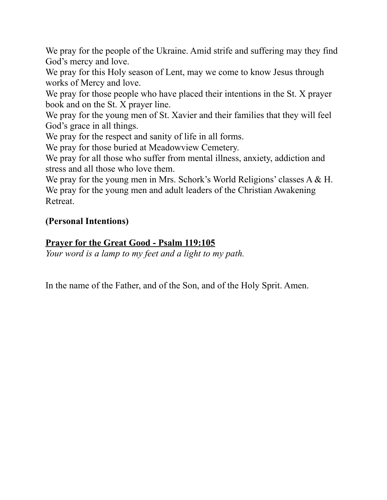We pray for the people of the Ukraine. Amid strife and suffering may they find God's mercy and love.

We pray for this Holy season of Lent, may we come to know Jesus through works of Mercy and love.

We pray for those people who have placed their intentions in the St. X prayer book and on the St. X prayer line.

We pray for the young men of St. Xavier and their families that they will feel God's grace in all things.

We pray for the respect and sanity of life in all forms.

We pray for those buried at Meadowview Cemetery.

We pray for all those who suffer from mental illness, anxiety, addiction and stress and all those who love them.

We pray for the young men in Mrs. Schork's World Religions' classes A & H. We pray for the young men and adult leaders of the Christian Awakening Retreat.

# **(Personal Intentions)**

# **Prayer for the Great Good - Psalm 119:105**

*Your word is a lamp to my feet and a light to my path.* 

In the name of the Father, and of the Son, and of the Holy Sprit. Amen.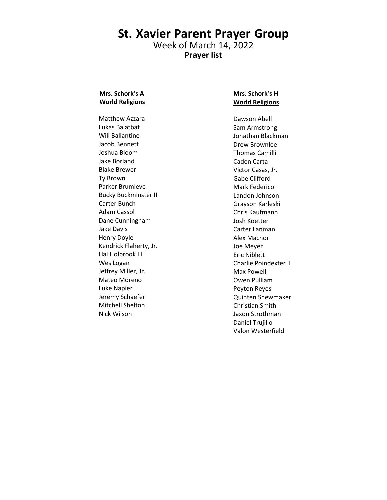#### **St. Xavier Parent Prayer Group** Week of March 14, 2022 **Prayer list**

#### **Mrs. Schork's A World Religions**

Matthew Azzara Lukas Balatbat Will Ballantine Jacob Bennett Joshua Bloom Jake Borland Blake Brewer Ty Brown Parker Brumleve Bucky Buckminster II Carter Bunch Adam Cassol Dane Cunningham Jake Davis Henry Doyle Kendrick Flaherty, Jr. Hal Holbrook III Wes Logan Jeffrey Miller, Jr. Mateo Moreno Luke Napier Jeremy Schaefer Mitchell Shelton Nick Wilson

#### **Mrs. Schork's H World Religions**

Dawson Abell Sam Armstrong Jonathan Blackman Drew Brownlee Thomas Camilli Caden Carta Victor Casas, Jr. Gabe Clifford Mark Federico Landon Johnson Grayson Karleski Chris Kaufmann Josh Koetter Carter Lanman Alex Machor Joe Meyer Eric Niblett Charlie Poindexter II Max Powell Owen Pulliam Peyton Reyes Quinten Shewmaker Christian Smith Jaxon Strothman Daniel Trujillo Valon Westerfield